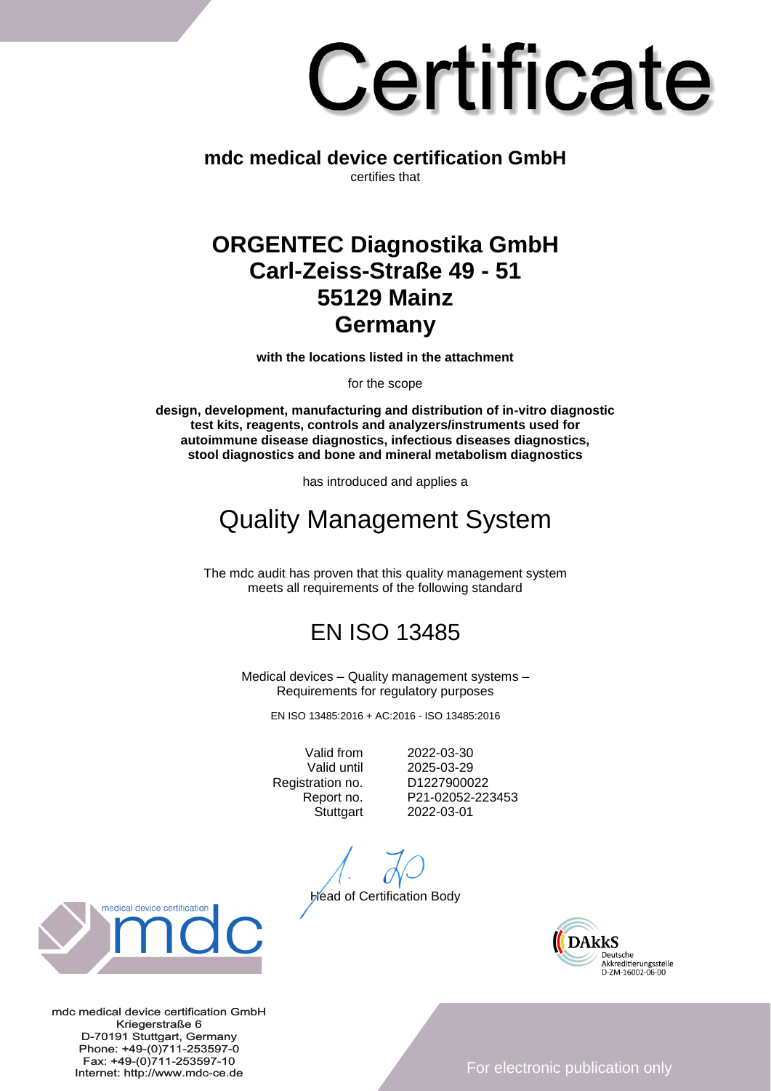# Certificate

**mdc medical device certification GmbH** certifies that

#### **ORGENTEC Diagnostika GmbH Carl-Zeiss-Straße 49 - 51 55129 Mainz Germany**

**with the locations listed in the attachment**

for the scope

**design, development, manufacturing and distribution of in-vitro diagnostic test kits, reagents, controls and analyzers/instruments used for autoimmune disease diagnostics, infectious diseases diagnostics, stool diagnostics and bone and mineral metabolism diagnostics**

has introduced and applies a

## Quality Management System

The mdc audit has proven that this quality management system meets all requirements of the following standard

### EN ISO 13485

Medical devices – Quality management systems – Requirements for regulatory purposes

EN ISO 13485:2016 + AC:2016 - ISO 13485:2016

Registration no. D1227900022

Valid from 2022-03-30 Valid until 2025-03-29 Report no. P21-02052-223453 Stuttgart 2022-03-01

**Head of Certification Body** 





mdc medical device certification GmbH Kriegerstraße 6 D-70191 Stuttgart, Germany Phone: +49-(0)711-253597-0 Fax: +49-(0)711-253597-10 Internet: http://www.mdc-ce.de

For electronic publication only